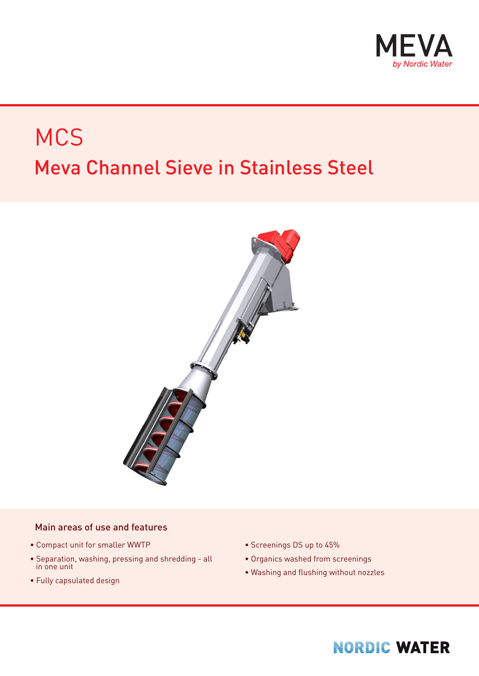

# Meva Channel Sieve in Stainless Steel **MCS**



#### Main areas of use and features

- Compact unit for smaller WWTP
- Separation, washing, pressing and shredding all in one unit
- Fully capsulated design
- Screenings DS up to 45%
- Organics washed from screenings
- Washing and flushing without nozzles

#### **NORDIC WATER**